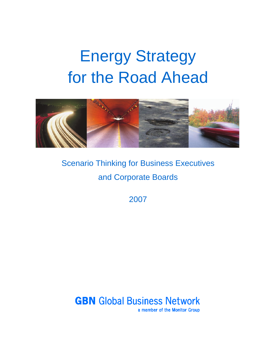# Energy Strategy for the Road Ahead



Scenario Thinking for Business Executives and Corporate Boards

2007

**GBN** Global Business Network a member of the Monitor Group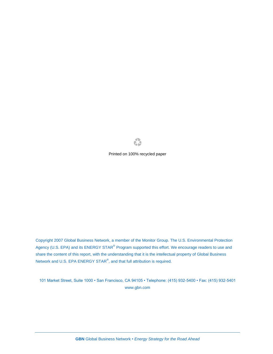

Printed on 100% recycled paper

Copyright 2007 Global Business Network, a member of the Monitor Group. The U.S. Environmental Protection Agency (U.S. EPA) and its ENERGY STAR<sup>®</sup> Program supported this effort. We encourage readers to use and share the content of this report, with the understanding that it is the intellectual property of Global Business Network and U.S. EPA ENERGY STAR<sup>®</sup>, and that full attribution is required.

101 Market Street, Suite 1000 • San Francisco, CA 94105 • Telephone: (415) 932-5400 • Fax: (415) 932-5401 www.gbn.com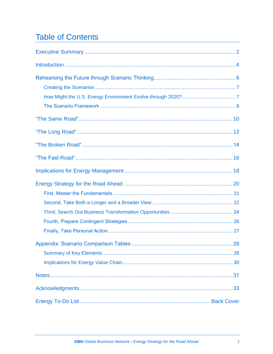## **Table of Contents**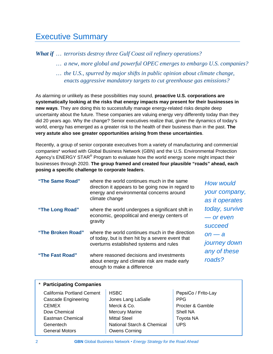### Executive Summary

*What if … terrorists destroy three Gulf Coast oil refinery operations?*

- *… a new, more global and powerful OPEC emerges to embargo U.S. companies?*
- *… the U.S., spurred by major shifts in public opinion about climate change, enacts aggressive mandatory targets to cut greenhouse gas emissions?*

As alarming or unlikely as these possibilities may sound, **proactive U.S. corporations are systematically looking at the risks that energy impacts may present for their businesses in new ways**. They are doing this to successfully manage energy-related risks despite deep uncertainty about the future. These companies are valuing energy very differently today than they did 20 years ago. Why the change? Senior executives realize that, given the dynamics of today's world, energy has emerged as a greater risk to the health of their business than in the past. **The very astute also see greater opportunities arising from these uncertainties**.

Recently, a group of senior corporate executives from a variety of manufacturing and commercial companies\* worked with Global Business Network (GBN) and the U.S. Environmental Protection Agency's ENERGY STAR<sup>®</sup> Program to evaluate how the world energy scene might impact their businesses through 2020. **The group framed and created four plausible "roads" ahead, each posing a specific challenge to corporate leaders**.

| "The Same Road"   | where the world continues much in the same<br>direction it appears to be going now in regard to<br>energy and environmental concerns around<br>climate change | <b>How would</b><br>your company,<br>as it operates |
|-------------------|---------------------------------------------------------------------------------------------------------------------------------------------------------------|-----------------------------------------------------|
| "The Long Road"   | where the world undergoes a significant shift in<br>economic, geopolitical and energy centers of<br>gravity                                                   | today, survive<br>— or even<br>succeed              |
| "The Broken Road" | where the world continues much in the direction<br>of today, but is then hit by a severe event that<br>overturns established systems and rules                | $on - a$<br>journey down                            |
| "The Fast Road"   | where reasoned decisions and investments<br>about energy and climate risk are made early<br>enough to make a difference                                       | any of these<br>roads?                              |

| <b>Participating Companies</b>    |                            |                     |
|-----------------------------------|----------------------------|---------------------|
| <b>California Portland Cement</b> | <b>HSBC</b>                | PepsiCo / Frito-Lay |
| <b>Cascade Engineering</b>        | Jones Lang LaSalle         | <b>PPG</b>          |
| <b>CEMEX</b>                      | Merck & Co.                | Procter & Gamble    |
| Dow Chemical                      | <b>Mercury Marine</b>      | <b>Shell NA</b>     |
| <b>Eastman Chemical</b>           | <b>Mittal Steel</b>        | <b>Toyota NA</b>    |
| Genentech                         | National Starch & Chemical | <b>UPS</b>          |
| <b>General Motors</b>             | Owens Corning              |                     |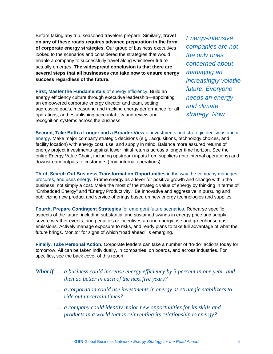Before taking any trip, seasoned travelers prepare. Similarly, **travel on any of these roads requires advance preparation in the form of corporate energy strategies.** Our group of business executives looked to the scenarios and considered the strategies that would enable a company to successfully travel along whichever future actually emerges. **The widespread conclusion is that there are several steps that all businesses can take now to ensure energy success regardless of the future.**

**First, Master the Fundamentals** of energy efficiency. Build an energy efficiency culture through executive leadership—appointing an empowered corporate energy director and team, setting aggressive goals, measuring and tracking energy performance for all operations, and establishing accountability and review and recognition systems across the business.

*Energy-intensive companies are not the only ones concerned about managing an increasingly volatile future. Everyone needs an energy and climate strategy. Now*.

**Second, Take Both a Longer and a Broader View** of investments and strategic decisions about energy. Make major company strategic decisions (e.g., acquisitions, technology choices, and facility location) with energy cost, use, and supply in mind. Balance more assured returns of energy project investments against lower initial returns across a longer time horizon. See the entire Energy Value Chain, including upstream inputs from suppliers (into internal operations) and downstream outputs to customers (from internal operations).

**Third, Search Out Business Transformation Opportunities** in the way the company manages, procures, and uses energy. Frame energy as a lever for positive growth and change within the business, not simply a cost. Make the most of the strategic value of energy by thinking in terms of "Embedded Energy" and "Energy Productivity." Be innovative and aggressive in pursuing and publicizing new product and service offerings based on new energy technologies and supplies.

**Fourth, Prepare Contingent Strategies** for emergent future scenarios. Rehearse specific aspects of the future, including substantial and sustained swings in energy price and supply, severe weather events, and penalties or incentives around energy use and greenhouse gas emissions. Actively manage exposure to risks, and ready plans to take full advantage of what the future brings. Monitor for signs of which "road ahead" is emerging.

**Finally, Take Personal Action.** Corporate leaders can take a number of "to-do" actions today for tomorrow. All can be taken individually, in companies, on boards, and across industries. For specifics, see the back cover of this report.

*What if … a business could increase energy efficiency by 5 percent in one year, and then do better in each of the next five years?*

- *… a corporation could use investments in energy as strategic stabilizers to ride out uncertain times?*
- *… a company could identify major new opportunities for its skills and products in a world that is reinventing its relationship to energy?*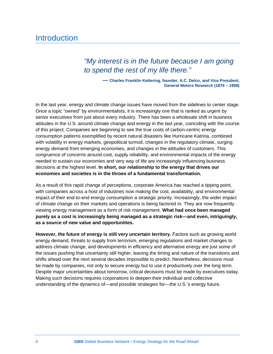### **Introduction**

### *"My interest is in the future because I am going to spend the rest of my life there."*

 **— Charles Franklin Kettering, founder, A.C. Delco, and Vice President, General Motors Research (1876 – 1958)**

In the last year, energy and climate change issues have moved from the sidelines to center stage. Once a topic "owned" by environmentalists, it is increasingly one that is ranked as urgent by senior executives from just about every industry. There has been a wholesale shift in business attitudes in the U.S. around climate change and energy in the last year, coinciding with the course of this project. Companies are beginning to see the true costs of carbon-centric energy consumption patterns exemplified by recent natural disasters like Hurricane Katrina, combined with volatility in energy markets, geopolitical turmoil, changes in the regulatory climate, surging energy demand from emerging economies, and changes in the attitudes of customers. This congruence of concerns around cost, supply reliability, and environmental impacts of the energy needed to sustain our economies and very way of life are increasingly influencing business decisions at the highest level. **In short, our relationship to the energy that drives our economies and societies is in the throes of a fundamental transformation.**

As a result of this rapid change of perceptions, corporate America has reached a tipping point, with companies across a host of industries now making the cost, availability, and environmental impact of their end-to-end energy consumption a strategic priority. Increasingly, the wider impact of climate change on their markets and operations is being factored in. They are now frequently viewing energy management as a form of risk management. **What had once been managed purely as a cost is increasingly being managed as a strategic risk—and even, intriguingly, as a source of new value and opportunities.**

**However, the future of energy is still very uncertain territory.** Factors such as growing world energy demand, threats to supply from terrorism, emerging regulations and market changes to address climate change, and developments in efficiency and alternative energy are just some of the issues pushing that uncertainty still higher, leaving the timing and nature of the transitions and shifts ahead over the next several decades impossible to predict. Nevertheless, decisions must be made by companies, not only to secure energy but to use it productively over the long term. Despite major uncertainties about tomorrow, critical decisions must be made by executives today. Making such decisions requires corporations to deepen their individual and collective understanding of the dynamics of—and possible strategies for—the U.S.'s energy future.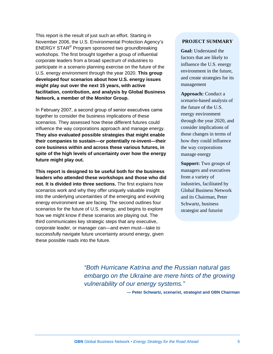This report is the result of just such an effort. Starting in November 2006, the U.S. Environmental Protection Agency's ENERGY STAR® Program sponsored two groundbreaking workshops. The first brought together a group of influential corporate leaders from a broad spectrum of industries to participate in a scenario planning exercise on the future of the U.S. energy environment through the year 2020. **This group developed four scenarios about how U.S. energy issues might play out over the next 15 years, with active facilitation, contribution, and analysis by Global Business Network, a member of the Monitor Group.**

In February 2007, a second group of senior executives came together to consider the business implications of these scenarios. They assessed how these different futures could influence the way corporations approach and manage energy. **They also evaluated possible strategies that might enable their companies to sustain—or potentially re-invent—their core business within and across these various futures, in spite of the high levels of uncertainty over how the energy future might play out.**

**This report is designed to be useful both for the business leaders who attended these workshops and those who did not. It is divided into three sections.** The first explains how scenarios work and why they offer uniquely valuable insight into the underlying uncertainties of the emerging and evolving energy environment we are facing. The second outlines four scenarios for the future of U.S. energy, and begins to explore how we might know if these scenarios are playing out. The third communicates key strategic steps that any executive, corporate leader, or manager can—and even must—take to successfully navigate future uncertainty around energy, given these possible roads into the future.

#### **PROJECT SUMMARY**

**Goal:** Understand the factors that are likely to influence the U.S. energy environment in the future, and create strategies for its management

**Approach:** Conduct a scenario-based analysis of the future of the U.S. energy environment through the year 2020, and consider implications of those changes in terms of how they could influence the way corporations manage energy

**Support:** Two groups of managers and executives from a variety of industries, facilitated by Global Business Network and its Chairman, Peter Schwartz, business strategist and futurist

*"Both Hurricane Katrina and the Russian natural gas embargo on the Ukraine are mere hints of the growing vulnerability of our energy systems."*

**— Peter Schwartz, scenarist, strategist and GBN Chairman**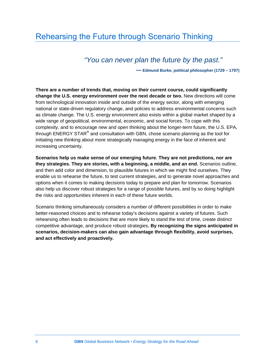### Rehearsing the Future through Scenario Thinking

### *"You can never plan the future by the past."*

 **— Edmund Burke, political philosopher (1729 – 1797)**

**There are a number of trends that, moving on their current course, could significantly change the U.S. energy environment over the next decade or two.** New directions will come from technological innovation inside and outside of the energy sector, along with emerging national or state-driven regulatory change, and policies to address environmental concerns such as climate change. The U.S. energy environment also exists within a global market shaped by a wide range of geopolitical, environmental, economic, and social forces. To cope with this complexity, and to encourage new and open thinking about the longer-term future, the U.S. EPA, through ENERGY STAR® and consultation with GBN, chose scenario planning as the tool for initiating new thinking about more strategically managing energy in the face of inherent and increasing uncertainty.

**Scenarios help us make sense of our emerging future. They are not predictions, nor are they strategies. They are stories, with a beginning, a middle, and an end.** Scenarios outline, and then add color and dimension, to plausible futures in which we might find ourselves. They enable us to rehearse the future, to test current strategies, and to generate novel approaches and options when it comes to making decisions today to prepare and plan for tomorrow. Scenarios also help us discover robust strategies for a range of possible futures, and by so doing highlight the risks and opportunities inherent in each of these future worlds.

Scenario thinking simultaneously considers a number of different possibilities in order to make better-reasoned choices and to rehearse today's decisions against a variety of futures. Such rehearsing often leads to decisions that are more likely to stand the test of time, create distinct competitive advantage, and produce robust strategies**. By recognizing the signs anticipated in scenarios, decision-makers can also gain advantage through flexibility, avoid surprises, and act effectively and proactively.**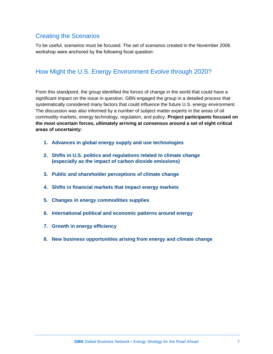### Creating the Scenarios

To be useful, scenarios must be focused. The set of scenarios created in the November 2006 workshop were anchored by the following focal question:

### How Might the U.S. Energy Environment Evolve through 2020?

From this standpoint, the group identified the forces of change in the world that could have a significant impact on the issue in question. GBN engaged the group in a detailed process that systematically considered many factors that could influence the future U.S. energy environment. The discussion was also informed by a number of subject matter experts in the areas of oil commodity markets, energy technology, regulation, and policy. **Project participants focused on the most uncertain forces, ultimately arriving at consensus around a set of eight critical areas of uncertainty:**

- **1. Advances in global energy supply and use technologies**
- **2. Shifts in U.S. politics and regulations related to climate change (especially as the impact of carbon dioxide emissions)**
- **3. Public and shareholder perceptions of climate change**
- **4. Shifts in financial markets that impact energy markets**
- **5. Changes in energy commodities supplies**
- **6. International political and economic patterns around energy**
- **7. Growth in energy efficiency**
- **8. New business opportunities arising from energy and climate change**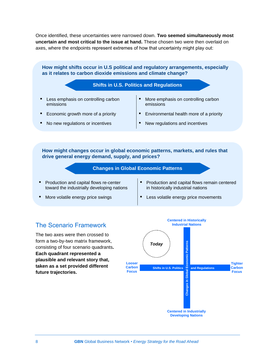Once identified, these uncertainties were narrowed down. **Two seemed simultaneously most uncertain and most critical to the issue at hand.** These chosen two were then overlaid on axes, where the endpoints represent extremes of how that uncertainty might play out:

**How might shifts occur in U.S political and regulatory arrangements, especially as it relates to carbon dioxide emissions and climate change?**



- Economic growth more of a priority
- No new regulations or incentives
- 
- Environmental health more of a priority
- New regulations and incentives

**How might changes occur in global economic patterns, markets, and rules that drive general energy demand, supply, and prices?**



- Production and capital flows re-center toward the industrially developing nations
- More volatile energy price swings
- Production and capital flows remain centered in historically industrial nations
- Less volatile energy price movements

#### The Scenario Framework

The two axes were then crossed to form a two-by-two matrix framework, consisting of four scenario quadrants**. Each quadrant represented a plausible and relevant story that, taken as a set provided different future trajectories.**

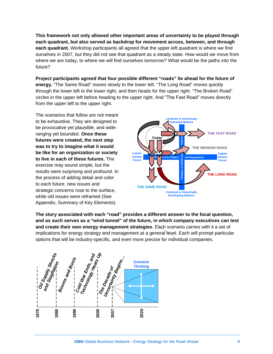**This framework not only allowed other important areas of uncertainty to be played through each quadrant, but also served as backdrop for movement across, between, and through each quadrant.** Workshop participants all agreed that the upper-left quadrant is where we find ourselves in 2007, but they did not see that quadrant as a steady state. How would we move from where we are today, to where we will find ourselves tomorrow? What would be the paths into the future?

**Project participants agreed that four possible different "roads" lie ahead for the future of energy.** "The Same Road" moves slowly to the lower left. "The Long Road" moves quickly through the lower left to the lower right, and then heads for the upper right. "The Broken Road" circles in the upper left before heading to the upper right. And "The Fast Road" moves directly from the upper left to the upper right.

The scenarios that follow are not meant to be exhaustive. They are designed to be provocative yet plausible, and wideranging yet bounded. **Once these futures were created, the next step was to try to imagine what it would be like for an organization or society to live in each of these futures.** The exercise may sound simple, but the results were surprising and profound. In the process of adding detail and color to each future, new issues and strategic concerns rose to the surface, while old issues were reframed (See Appendix, Summary of Key Elements).



**The story associated with each "road" provides a different answer to the focal question, and as such serves as a "wind tunnel" of the future, in which company executives can test and create their own energy management strategies**. Each scenario carries with it a set of implications for energy strategy and management at a general level. Each will prompt particular options that will be industry-specific, and even more precise for individual companies.

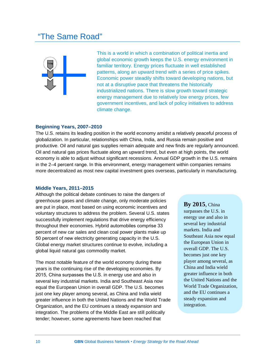### "The Same Road"



This is a world in which a combination of political inertia and global economic growth keeps the U.S. energy environment in familiar territory. Energy prices fluctuate in well established patterns, along an upward trend with a series of price spikes. Economic power steadily shifts toward developing nations, but not at a disruptive pace that threatens the historically industrialized nations. There is slow growth toward strategic energy management due to relatively low energy prices, few government incentives, and lack of policy initiatives to address climate change.

#### **Beginning Years, 2007–2010**

The U.S. retains its leading position in the world economy amidst a relatively peaceful process of globalization. In particular, relationships with China, India, and Russia remain positive and productive. Oil and natural gas supplies remain adequate and new finds are regularly announced. Oil and natural gas prices fluctuate along an upward trend, but even at high points, the world economy is able to adjust without significant recessions. Annual GDP growth in the U.S. remains in the 2–4 percent range. In this environment, energy management within companies remains more decentralized as most new capital investment goes overseas, particularly in manufacturing.

#### **Middle Years, 2011–2015**

Although the political debate continues to raise the dangers of greenhouse gases and climate change, only moderate policies are put in place, most based on using economic incentives and voluntary structures to address the problem. Several U.S. states successfully implement regulations that drive energy efficiency throughout their economies. Hybrid automobiles comprise 33 percent of new car sales and clean coal power plants make up 50 percent of new electricity generating capacity in the U.S. Global energy market structures continue to evolve, including a global liquid natural gas commodity market.

The most notable feature of the world economy during these years is the continuing rise of the developing economies. By 2015, China surpasses the U.S. in energy use and also in several key industrial markets. India and Southeast Asia now equal the European Union in overall GDP. The U.S. becomes just one key player among several, as China and India wield greater influence in both the United Nations and the World Trade Organization, and the EU continues a steady expansion and integration. The problems of the Middle East are still politically tender; however, some agreements have been reached that

#### **By 2015**, China

surpasses the U.S. in energy use and also in several key industrial markets. India and Southeast Asia now equal the European Union in overall GDP. The U.S. becomes just one key player among several, as China and India wield greater influence in both the United Nations and the World Trade Organization, and the EU continues a steady expansion and integration.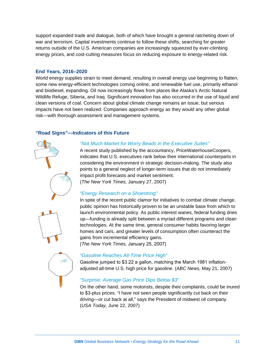support expanded trade and dialogue, both of which have brought a general ratcheting down of war and terrorism. Capital investments continue to follow these shifts, searching for greater returns outside of the U.S. American companies are increasingly squeezed by ever-climbing energy prices, and cost-cutting measures focus on reducing exposure to energy-related risk.

#### **End Years, 2016–2020**

World energy supplies strain to meet demand, resulting in overall energy use beginning to flatten, some new energy-efficient technologies coming online, and renewable fuel use, primarily ethanol and biodiesel, expanding. Oil now increasingly flows from places like Alaska's Arctic Natural Wildlife Refuge, Siberia, and Iraq. Significant innovation has also occurred in the use of liquid and clean versions of coal. Concern about global climate change remains an issue, but serious impacts have not been realized. Companies approach energy as they would any other global risk—with thorough assessment and management systems.

#### **"Road Signs"—Indicators of this Future**





### *"Gasoline Reaches All-Time Price High"*

Gasoline jumped to \$3.22 a gallon, matching the March 1981 inflationadjusted all-time U.S. high price for gasoline. (*ABC News,* May 21, 2007)

#### *"Surprise: Average Gas Price Dips Below \$3"*

On the other hand, some motorists, despite their complaints, could be inured to \$3-plus prices. "I have not seen people significantly cut back on their driving—or cut back at all," says the President of midwest oil company. (*USA Today,* June 22, 2007)

#### *"Not Much Market for Worry Beads in the Executive Suites"*

A recent study published by the accountancy, PriceWaterhouseCoopers, indicates that U.S. executives rank below their international counterparts in considering the environment in strategic decision-making. The study also points to a general neglect of longer-term issues that do not immediately impact profit forecasts and market sentiment.

(*The New York Times,* January 27, 2007)

#### *"Energy Research on a Shoestring"*

In spite of the recent public clamor for initiatives to combat climate change, public opinion has historically proven to be an unstable base from which to launch environmental policy. As public interest wanes, federal funding dries up—funding is already split between a myriad different programs and clean technologies. At the same time, general consumer habits favoring larger homes and cars, and greater levels of consumption often counteract the gains from incremental efficiency gains. (*The New York Times,* January 25, 2007)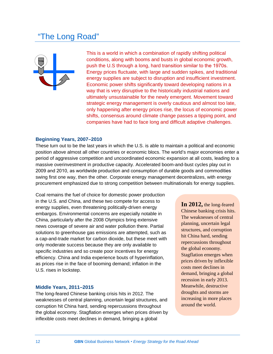### "The Long Road"



This is a world in which a combination of rapidly shifting political conditions, along with booms and busts in global economic growth, push the U.S through a long, hard transition similar to the 1970s. Energy prices fluctuate, with large and sudden spikes, and traditional energy supplies are subject to disruption and insufficient investment. Economic power shifts significantly toward developing nations in a way that is very disruptive to the historically industrial nations and ultimately unsustainable for the newly emergent. Movement toward strategic energy management is overly cautious and almost too late, only happening after energy prices rise, the locus of economic power shifts, consensus around climate change passes a tipping point, and companies have had to face long and difficult adaptive challenges.

#### **Beginning Years, 2007–2010**

These turn out to be the last years in which the U.S. is able to maintain a political and economic position above almost all other countries or economic blocs. The world's major economies enter a period of aggressive competition and uncoordinated economic expansion at all costs, leading to a massive overinvestment in productive capacity. Accelerated boom-and-bust cycles play out in 2009 and 2010, as worldwide production and consumption of durable goods and commodities swing first one way, then the other. Corporate energy management decentralizes, with energy procurement emphasized due to strong competition between multinationals for energy supplies.

Coal remains the fuel of choice for domestic power production in the U.S. and China, and these two compete for access to energy supplies, even threatening politically-driven energy embargos. Environmental concerns are especially notable in China, particularly after the 2008 Olympics bring extensive news coverage of severe air and water pollution there. Partial solutions to greenhouse gas emissions are attempted, such as a cap-and-trade market for carbon dioxide, but these meet with only moderate success because they are only available to specific industries and so create poor incentives for energy efficiency. China and India experience bouts of hyperinflation, as prices rise in the face of booming demand; inflation in the U.S. rises in lockstep.

#### **Middle Years, 2011–2015**

The long-feared Chinese banking crisis hits in 2012. The weaknesses of central planning, uncertain legal structures, and corruption hit China hard, sending repercussions throughout the global economy. Stagflation emerges when prices driven by inflexible costs meet declines in demand, bringing a global

**In 2012,** the long-feared Chinese banking crisis hits. The weaknesses of central planning, uncertain legal structures, and corruption hit China hard, sending repercussions throughout the global economy. Stagflation emerges when prices driven by inflexible costs meet declines in demand, bringing a global recession in early 2013. Meanwhile, destructive droughts and storms are increasing in more places around the world.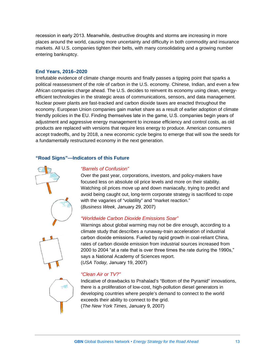recession in early 2013. Meanwhile, destructive droughts and storms are increasing in more places around the world, causing more uncertainty and difficulty in both commodity and insurance markets. All U.S. companies tighten their belts, with many consolidating and a growing number entering bankruptcy.

#### **End Years, 2016–2020**

Irrefutable evidence of climate change mounts and finally passes a tipping point that sparks a political reassessment of the role of carbon in the U.S. economy. Chinese, Indian, and even a few African companies charge ahead. The U.S. decides to reinvent its economy using clean, energyefficient technologies in the strategic areas of communications, sensors, and data management. Nuclear power plants are fast-tracked and carbon dioxide taxes are enacted throughout the economy. European Union companies gain market share as a result of earlier adoption of climate friendly policies in the EU. Finding themselves late in the game, U.S. companies begin years of adjustment and aggressive energy management to increase efficiency and control costs, as old products are replaced with versions that require less energy to produce. American consumers accept tradeoffs, and by 2018, a new economic cycle begins to emerge that will sow the seeds for a fundamentally restructured economy in the next generation.

#### **"Road Signs"—Indicators of this Future**



#### *"Barrels of Confusion"*

Over the past year, corporations, investors, and policy-makers have focused less on absolute oil price levels and more on their stability. Watching oil prices move up and down maniacally, trying to predict and avoid being caught out, long-term corporate strategy is sacrificed to cope with the vagaries of "volatility" and "market reaction." (*Business Week,* January 29, 2007)

#### *"Worldwide Carbon Dioxide Emissions Soar"*

Warnings about global warming may not be dire enough, according to a climate study that describes a runaway-train acceleration of industrial carbon dioxide emissions. Fueled by rapid growth in coal-reliant China, rates of carbon dioxide emission from industrial sources increased from 2000 to 2004 "at a rate that is over three times the rate during the 1990s," says a National Academy of Sciences report. (*USA Today,* January 19, 2007)

#### *"Clean Air or TV?"*

Indicative of drawbacks to Prahalad's "Bottom of the Pyramid" innovations, there is a proliferation of low-cost, high-pollution diesel generators in developing countries where people's demand to connect to the world exceeds their ability to connect to the grid. (*The New York Times,* January 9, 2007)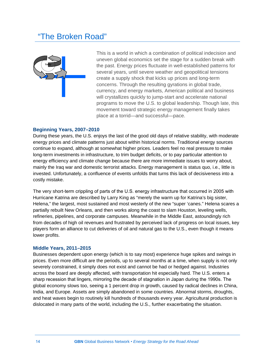### "The Broken Road"



This is a world in which a combination of political indecision and uneven global economics set the stage for a sudden break with the past. Energy prices fluctuate in well-established patterns for several years, until severe weather and geopolitical tensions create a supply shock that kicks up prices and long-term concerns. Through the resulting gyrations in global trade, currency, and energy markets, American political and business will crystallizes quickly to jump-start and accelerate national programs to move the U.S. to global leadership. Though late, this movement toward strategic energy management finally takes place at a torrid—and successful—pace.

#### **Beginning Years, 2007–2010**

During these years, the U.S. enjoys the last of the good old days of relative stability, with moderate energy prices and climate patterns just about within historical norms. Traditional energy sources continue to expand, although at somewhat higher prices. Leaders feel no real pressure to make long-term investments in infrastructure, to trim budget deficits, or to pay particular attention to energy efficiency and climate change because there are more immediate issues to worry about, mainly the Iraq war and domestic terrorist attacks. Energy management is status quo, i.e., little is invested. Unfortunately, a confluence of events unfolds that turns this lack of decisiveness into a costly mistake.

The very short-term crippling of parts of the U.S. energy infrastructure that occurred in 2005 with Hurricane Katrina are described by Larry King as "merely the warm up for Katrina's big sister, Helena," the largest, most sustained and most westerly of the new "super 'canes." Helena scares a partially rebuilt New Orleans, and then works along the coast to slam Houston, leveling wells, refineries, pipelines, and corporate campuses. Meanwhile in the Middle East, astoundingly rich from decades of high oil revenues and frustrated by perceived lack of progress on local issues, key players form an alliance to cut deliveries of oil and natural gas to the U.S., even though it means lower profits.

#### **Middle Years, 2011–2015**

Businesses dependent upon energy (which is to say most) experience huge spikes and swings in prices. Even more difficult are the periods, up to several months at a time, when supply is not only severely constrained, it simply does not exist and cannot be had or hedged against. Industries across the board are deeply affected, with transportation hit especially hard. The U.S. enters a sharp recession that lingers, mirroring the decade of stagnation in Japan during the 1990s. The global economy slows too, seeing a 1 percent drop in growth, caused by radical declines in China, India, and Europe. Assets are simply abandoned in some countries. Abnormal storms, droughts, and heat waves begin to routinely kill hundreds of thousands every year. Agricultural production is dislocated in many parts of the world, including the U.S., further exacerbating the situation.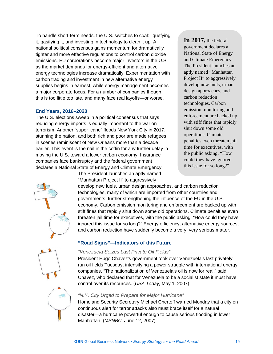To handle short-term needs, the U.S. switches to coal: liquefying it, gasifying it, and investing in technology to clean it up. A national political consensus gains momentum for dramatically tighter and more effective regulations to control carbon dioxide emissions. EU corporations become major investors in the U.S. as the market demands for energy-efficient and alternative energy technologies increase dramatically. Experimentation with carbon trading and investment in new alternative energy supplies begins in earnest, while energy management becomes a major corporate focus. For a number of companies though, this is too little too late, and many face real layoffs—or worse.

#### **End Years, 2016–2020**

The U.S. elections sweep in a political consensus that says reducing energy imports is equally important to the war on terrorism. Another "super 'cane" floods New York City in 2017, stunning the nation, and both rich and poor are made refugees in scenes reminiscent of New Orleans more than a decade earlier. This event is the nail in the coffin for any further delay in moving the U.S. toward a lower carbon economy. Insurance companies face bankruptcy and the federal government declares a National State of Energy and Climate Emergency.

**In 2017,** the federal government declares a National State of Energy and Climate Emergency. The President launches an aptly named "Manhattan Project II" to aggressively develop new fuels, urban design approaches, and carbon reduction technologies. Carbon emission monitoring and enforcement are backed up with stiff fines that rapidly shut down some old operations. Climate penalties even threaten jail time for executives, with the public asking, "How could they have ignored this issue for so long?"



The President launches an aptly named "Manhattan Project II" to aggressively

develop new fuels, urban design approaches, and carbon reduction technologies, many of which are imported from other countries and governments, further strengthening the influence of the EU in the U.S. economy. Carbon emission monitoring and enforcement are backed up with stiff fines that rapidly shut down some old operations. Climate penalties even threaten jail time for executives, with the public asking, "How could they have ignored this issue for so long?" Energy efficiency, alternative energy sources, and carbon reduction have suddenly become a very, very serious matter.

#### **"Road Signs"—Indicators of this Future**

#### *"Venezuela Seizes Last Private Oil Fields"*

President Hugo Chavez's government took over Venezuela's last privately run oil fields Tuesday, intensifying a power struggle with international energy companies. "The nationalization of Venezuela's oil is now for real," said Chavez, who declared that for Venezuela to be a socialist state it must have control over its resources. (*USA Today,* May 1, 2007)



#### *"N.Y. City Urged to Prepare for Major Hurricane"*

Homeland Security Secretary Michael Chertoff warned Monday that a city on continuous alert for terror attacks also must brace itself for a natural disaster—a hurricane powerful enough to cause serious flooding in lower Manhattan. (*MSNBC,* June 12, 2007)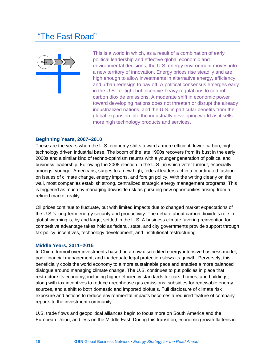### The Fast Road"



This is a world in which, as a result of a combination of early political leadership and effective global economic and environmental decisions, the U.S. energy environment moves into a new territory of innovation. Energy prices rise steadily and are high enough to allow investments in alternative energy, efficiency, and urban redesign to pay off. A political consensus emerges early in the U.S. for tight but incentive-heavy regulations to control carbon dioxide emissions. A moderate shift in economic power toward developing nations does not threaten or disrupt the already industrialized nations, and the U.S. in particular benefits from the global expansion into the industrially developing world as it sells more high technology products and services.

#### **Beginning Years, 2007–2010**

These are the years when the U.S. economy shifts toward a more efficient, lower carbon, high technology driven industrial base. The boom of the late 1990s recovers from its bust in the early 2000s and a similar kind of techno-optimism returns with a younger generation of political and business leadership. Following the 2008 election in the U.S., in which voter turnout, especially amongst younger Americans, surges to a new high, federal leaders act in a coordinated fashion on issues of climate change, energy imports, and foreign policy. With the writing clearly on the wall, most companies establish strong, centralized strategic energy management programs. This is triggered as much by managing downside risk as pursuing new opportunities arising from a refined market reality.

Oil prices continue to fluctuate, but with limited impacts due to changed market expectations of the U.S.'s long-term energy security and productivity. The debate about carbon dioxide's role in global warming is, by and large, settled in the U.S. A business climate favoring reinvention for competitive advantage takes hold as federal, state, and city governments provide support through tax policy, incentives, technology development, and institutional restructuring.

#### **Middle Years, 2011–2015**

In China, turmoil over investments based on a now discredited energy-intensive business model, poor financial management, and inadequate legal protection slows its growth. Perversely, this beneficially cools the world economy to a more sustainable pace and enables a more balanced dialogue around managing climate change. The U.S. continues to put policies in place that restructure its economy, including higher efficiency standards for cars, homes, and buildings, along with tax incentives to reduce greenhouse gas emissions, subsidies for renewable energy sources, and a shift to both domestic and imported biofuels. Full disclosure of climate risk exposure and actions to reduce environmental impacts becomes a required feature of company reports to the investment community.

U.S. trade flows and geopolitical alliances begin to focus more on South America and the European Union, and less on the Middle East. During this transition, economic growth flattens in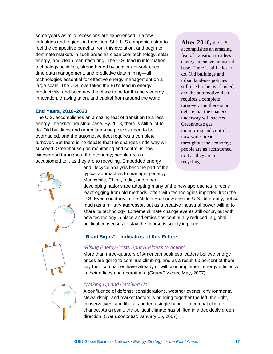some years as mild recessions are experienced in a few industries and regions in transition. Still, U.S companies start to feel the competitive benefits from this evolution, and begin to dominate markets in such areas as clean coal technology, solar energy, and clean manufacturing. The U.S. lead in information technology solidifies, strengthened by sensor networks, realtime data management, and predictive data mining—all technologies essential for effective energy management on a large scale. The U.S. overtakes the EU's lead in energy productivity, and becomes the place to be for this new energy innovation, drawing talent and capital from around the world.

#### **End Years, 2016–2020**

The U.S. accomplishes an amazing feat of transition to a less energy-intensive industrial base. By 2018, there is still a lot to do. Old buildings and urban land-use policies need to be overhauled, and the automotive fleet requires a complete turnover. But there is no debate that the changes underway will succeed. Greenhouse gas monitoring and control is now widespread throughout the economy; people are as accustomed to it as they are to recycling. Embedded energy

**After 2016,** the U.S. accomplishes an amazing

feat of transition to a less energy-intensive industrial base. There is still a lot to do. Old buildings and urban land-use policies still need to be overhauled, and the automotive fleet requires a complete turnover. But there is no debate that the changes underway will succeed. Greenhouse gas monitoring and control is now widespread throughout the economy; people are as accustomed to it as they are to recycling.



typical approaches to managing energy. Meanwhile, China, India, and other

and lifecycle analysis become part of the

developing nations are adopting many of the new approaches, directly leapfrogging from old methods, often with technologies imported from the U.S. Even countries in the Middle East now see the U.S. differently, not so much as a military aggressor, but as a creative industrial power willing to share its technology. Extreme climate change events still occur, but with new technology in place and emissions continually reduced, a global political consensus to stay the course is solidly in place.

#### **"Road Signs"—Indicators of this Future**



#### *"Rising Energy Costs Spur Business to Action"*

More than three-quarters of American business leaders believe energy prices are going to continue climbing, and as a result 60 percent of them say their companies have already or will soon implement energy efficiency in their offices and operations. (*GreenBiz.com,* May, 2007)



#### *"Waking Up and Catching Up"*

A confluence of defense considerations, weather events, environmental stewardship, and market factors is bringing together the left, the right, conservatives, and liberals under a single banner to combat climate change. As a result, the political climate has shifted in a decidedly green direction. (*The Economist,* January 25, 2007)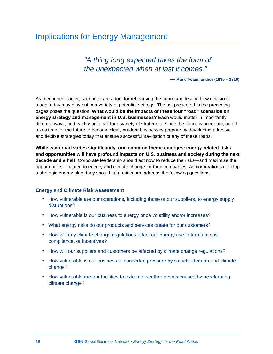### Implications for Energy Management

### *"A thing long expected takes the form of the unexpected when at last it comes."*

**— Mark Twain, author (1835 – 1910)**

As mentioned earlier, scenarios are a tool for rehearsing the future and testing how decisions made today may play out in a variety of potential settings. The set presented in the preceding pages poses the question, **What would be the impacts of these four "road" scenarios on energy strategy and management in U.S. businesses?** Each would matter in importantly different ways, and each would call for a variety of strategies. Since the future is uncertain, and it takes time for the future to become clear, prudent businesses prepare by developing adaptive and flexible strategies today that ensure successful navigation of any of these roads.

**While each road varies significantly, one common theme emerges: energy-related risks and opportunities will have profound impacts on U.S. business and society during the next decade and a half**. Corporate leadership should act now to reduce the risks—and maximize the opportunities—related to energy and climate change for their companies. As corporations develop a strategic energy plan, they should, at a minimum, address the following questions:

#### **Energy and Climate Risk Assessment**

- How vulnerable are our operations, including those of our suppliers, to energy supply disruptions?
- How vulnerable is our business to energy price volatility and/or increases?
- What energy risks do our products and services create for our customers?
- How will any climate change regulations effect our energy use in terms of cost, compliance, or incentives?
- How will our suppliers and customers be affected by climate change regulations?
- How vulnerable is our business to concerted pressure by stakeholders around climate change?
- How vulnerable are our facilities to extreme weather events caused by accelerating climate change?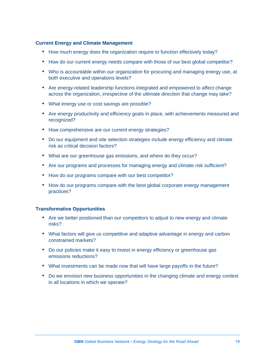#### **Current Energy and Climate Management**

- How much energy does the organization require to function effectively today?
- How do our current energy needs compare with those of our best global competitor?
- Who is accountable within our organization for procuring and managing energy use, at both executive and operations levels?
- Are energy-related leadership functions integrated and empowered to affect change across the organization, irrespective of the ultimate direction that change may take?
- What energy use or cost savings are possible?
- Are energy productivity and efficiency goals in place, with achievements measured and recognized?
- How comprehensive are our current energy strategies?
- Do our equipment and site selection strategies include energy efficiency and climate risk as critical decision factors?
- What are our greenhouse gas emissions, and where do they occur?
- Are our programs and processes for managing energy and climate risk sufficient?
- How do our programs compare with our best competitor?
- How do our programs compare with the best global corporate energy management practices?

#### **Transformative Opportunities**

- Are we better positioned than our competitors to adjust to new energy and climate risks?
- What factors will give us competitive and adaptive advantage in energy and carbon constrained markets?
- Do our policies make it easy to invest in energy efficiency or greenhouse gas emissions reductions?
- What investments can be made now that will have large payoffs in the future?
- Do we envision new business opportunities in the changing climate and energy context in all locations in which we operate?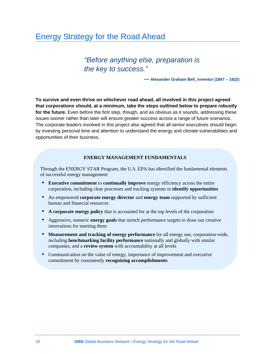### Energy Strategy for the Road Ahead

*"Before anything else, preparation is the key to success."*

 **— Alexander Graham Bell, inventor (1847 – 1922)**

**To survive and even thrive on whichever road ahead, all involved in this project agreed that corporations should, at a minimum, take the steps outlined below to prepare robustly for the future.** Even before the first step, though, and as obvious as it sounds, addressing these issues sooner rather than later will ensure greater success across a range of future scenarios. The corporate leaders involved in this project also agreed that all senior executives should begin by investing personal time and attention to understand the energy and climate vulnerabilities and opportunities of their business.

#### **ENERGY MANAGEMENT FUNDAMENTALS**

Through the ENERGY STAR Program, the U.S. EPA has identified the fundamental elements of successful energy management:

- **Executive commitment** to **continually improve** energy efficiency across the entire corporation, including clear processes and tracking systems to **identify opportunities**
- An empowered **corporate energy director** and **energy team** supported by sufficient human and financial resources
- **A corporate energy policy** that is accounted for at the top levels of the corporation
- Aggressive, numeric **energy goals** that stretch performance targets to draw out creative innovations for meeting them
- **Measurement and tracking of energy performance** for all energy use, corporation-wide, including **benchmarking facility performance** nationally and globally with similar companies, and a **review system** with accountability at all levels
- Communication on the value of energy, importance of improvement and executive commitment by consistently **recognizing accomplishments**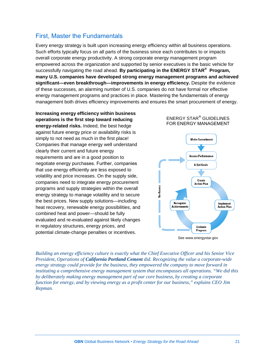### First, Master the Fundamentals

Every energy strategy is built upon increasing energy efficiency within all business operations. Such efforts typically focus on all parts of the business since each contributes to or impacts overall corporate energy productivity. A strong corporate energy management program empowered across the organization and supported by senior executives is the basic vehicle for successfully navigating the road ahead. **By participating in the ENERGY STAR® Program, many U.S. companies have developed strong energy management programs and achieved significant—even breakthrough—improvements in energy efficiency.** Despite the evidence of these successes, an alarming number of U.S. companies do not have formal nor effective energy management programs and practices in place. Mastering the fundamentals of energy management both drives efficiency improvements and ensures the smart procurement of energy.

**Increasing energy efficiency within business operations is the first step toward reducing energy-related risks.** Indeed, the best hedge against future energy price or availability risks is simply to not need as much in the first place! Companies that manage energy well understand clearly their current and future energy requirements and are in a good position to negotiate energy purchases. Further, companies that use energy efficiently are less exposed to volatility and price increases. On the supply side, companies need to integrate energy procurement programs and supply strategies within the overall energy strategy to manage volatility and to secure the best prices. New supply solutions—including heat recovery, renewable energy possibilities, and combined heat and power—should be fully evaluated and re-evaluated against likely changes in regulatory structures, energy prices, and potential climate-change penalties or incentives.





*Building an energy efficiency culture is exactly what the Chief Executive Officer and his Senior Vice President, Operations of California Portland Cement did. Recognizing the value a corporate-wide energy strategy could provide for the business, they empowered the company to move forward in instituting a comprehensive energy management system that encompasses all operations. "We did this by deliberately making energy management part of our core business, by creating a corporate function for energy, and by viewing energy as a profit center for our business," explains CEO Jim Repman.*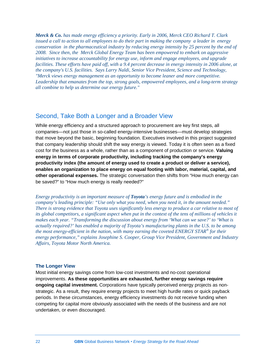*Merck & Co. has made energy efficiency a priority. Early in 2006, Merck CEO Richard T. Clark issued a call to action to all employees to do their part in making the company a leader in energy conservation in the pharmaceutical industry by reducing energy intensity by 25 percent by the end of 2008. Since then, the Merck Global Energy Team has been empowered to embark on aggressive initiatives to increase accountability for energy use, inform and engage employees, and upgrade facilities. These efforts have paid off, with a 9.4 percent decrease in energy intensity in 2006 alone, at the company's U.S. facilities. Says Larry Naldi, Senior Vice President, Science and Technology, "Merck views energy management as an opportunity to become leaner and more competitive. Leadership that emanates from the top, strong goals, empowered employees, and a long-term strategy all combine to help us determine our energy future."*

#### Second, Take Both a Longer and a Broader View

While energy efficiency and a structured approach to procurement are key first steps, all companies—not just those in so-called energy-intensive businesses—must develop strategies that move beyond the basic, beginning foundation. Executives involved in this project suggested that company leadership should shift the way energy is viewed. Today it is often seen as a fixed cost for the business as a whole, rather than as a component of production or service. **Valuing energy in terms of corporate productivity, including tracking the company's energy productivity index (the amount of energy used to create a product or deliver a service), enables an organization to place energy on equal footing with labor, material, capital, and other operational expenses.** The strategic conversation then shifts from "How much energy can be saved?" to "How much energy is really needed?"

*Energy productivity is an important measure of Toyota's energy future and is embodied in the company's leading principle: "Use only what you need, when you need it, in the amount needed." There is strong evidence that Toyota uses significantly less energy to produce a car relative to most of its global competitors, a significant aspect when put in the context of the tens of millions of vehicles it makes each year. "Transforming the discussion about energy from 'What can we save?' to 'What is actually required?' has enabled a majority of Toyota's manufacturing plants in the U.S. to be among the most energy-efficient in the nation, with many earning the coveted ENERGY STAR® for their energy performance," explains Josephine S. Cooper, Group Vice President, Government and Industry Affairs, Toyota Motor North America.*

#### **The Longer View**

Most initial energy savings come from low-cost investments and no-cost operational improvements. **As these opportunities are exhausted, further energy savings require ongoing capital investment.** Corporations have typically perceived energy projects as nonstrategic. As a result, they require energy projects to meet high hurdle rates or quick payback periods. In these circumstances, energy efficiency investments do not receive funding when competing for capital more obviously associated with the needs of the business and are not undertaken, or even discouraged.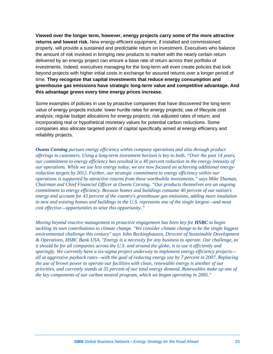**Viewed over the longer term, however, energy projects carry some of the more attractive returns and lowest risk.** New energy-efficient equipment, if installed and commissioned properly, will provide a sustained and predictable return on investment. Executives who balance the amount of risk involved in bringing new products to market with the nearly certain return delivered by an energy project can ensure a base rate of return across their portfolio of investments. Indeed, executives managing for the long-term will even create policies that look beyond projects with higher initial costs in exchange for assured returns over a longer period of time. **They recognize that capital investments that reduce energy consumption and greenhouse gas emissions have strategic long-term value and competitive advantage. And this advantage grows every time energy prices increase.**

Some examples of policies in use by proactive companies that have discovered the long-term value of energy projects include: lower hurdle rates for energy projects; use of lifecycle cost analysis; regular budget allocations for energy projects; risk adjusted rates of return; and incorporating real or hypothetical monetary values for potential carbon reductions. Some companies also allocate targeted pools of capital specifically aimed at energy efficiency and reliability projects.

*Owens Corning pursues energy efficiency within company operations and also through product offerings to customers. Using a long-term investment horizon is key to both. "Over the past 14 years, our commitment to energy efficiency has resulted in a 40 percent reduction in the energy intensity of our operations. While we use less energy today, we are now focused on achieving additional energyreduction targets by 2012. Further, our strategic commitment to energy efficiency within our operations is supported by attractive returns from these worthwhile investments." says Mike Thaman, Chairman and Chief Financial Officer at Owens Corning. "Our products themselves are an ongoing commitment to energy efficiency. Because homes and buildings consume 40 percent of our nation's energy and account for 43 percent of the country's greenhouse gas emissions, adding more insulation to new and existing homes and buildings in the U.S. represents one of the single largest—and most cost effective—opportunities to seize this opportunity."*

*Moving beyond reactive management to proactive engagement has been key for <i>HSBC* to begin *tackling its own contributions to climate change. "We consider climate change to be the single biggest environmental challenge this century" says John Beckinghausen, Director of Sustainable Development & Operations, HSBC Bank USA. "Energy is a necessity for any business to operate. Our challenge, as it should be for all companies across the U.S. and around the globe, is to use it efficiently and sparingly. We currently have a six-sigma project underway to implement energy efficiency projects all at aggressive payback rates—with the goal of reducing energy use by 7 percent in 2007. Replacing the use of brown power to operate our facilities with clean, renewable energy is another of our priorities, and currently stands at 35 percent of our total energy demand. Renewables make up one of the key components of our carbon neutral program, which we began operating in 2005."*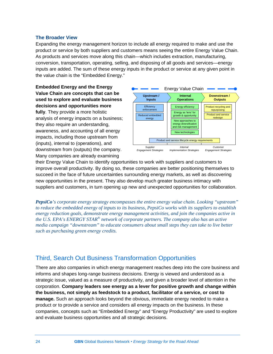#### **The Broader View**

Expanding the energy management horizon to include all energy required to make and use the product or service by both suppliers and customers means seeing the entire Energy Value Chain. As products and services move along this chain—which includes extraction, manufacturing, conversion, transportation, operating, selling, and disposing of all goods and services—energy inputs are added. The sum of these energy inputs in the product or service at any given point in the value chain is the "Embedded Energy."

**Embedded Energy and the Energy Value Chain are concepts that can be used to explore and evaluate business decisions and opportunities more fully**. They provide a more holistic analysis of energy impacts on a business; they also require an understanding, awareness, and accounting of all energy impacts, including those upstream from (inputs), internal to (operations), and downstream from (outputs) the company. Many companies are already examining



their Energy Value Chain to identify opportunities to work with suppliers and customers to improve overall productivity. By doing so, these companies are better positioning themselves to succeed in the face of future uncertainties surrounding energy markets, as well as discovering new opportunities in the present. They also develop much greater business intimacy with suppliers and customers, in turn opening up new and unexpected opportunities for collaboration.

*PepsiCo's corporate energy strategy encompasses the entire energy value chain. Looking "upstream" to reduce the embedded energy of inputs to its business, PepsiCo works with its suppliers to establish energy reduction goals, demonstrate energy management activities, and join the companies active in the U.S. EPA's ENERGY STAR® network of corporate partners. The company also has an active media campaign "downstream" to educate consumers about small steps they can take to live better such as purchasing green energy credits.*

### Third, Search Out Business Transformation Opportunities

There are also companies in which energy management reaches deep into the core business and informs and shapes long-range business decisions. Energy is viewed and understood as a strategic issue, valued as a measure of productivity, and given a broader level of attention in the corporation. **Company leaders see energy as a lever for positive growth and change within the business, not simply as feedstock to a product, facilitator of a service, or cost to manage.** Such an approach looks beyond the obvious, immediate energy needed to make a product or to provide a service and considers all energy impacts on the business. In these companies, concepts such as "Embedded Energy" and "Energy Productivity" are used to explore and evaluate business opportunities and all strategic decisions.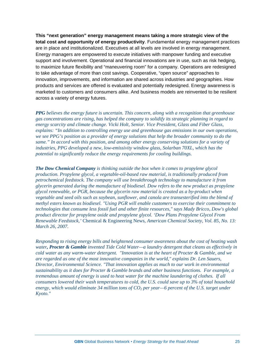**This "next generation" energy management means taking a more strategic view of the total cost and opportunity of energy productivity**. Fundamental energy management practices are in place and institutionalized. Executives at all levels are involved in energy management. Energy managers are empowered to execute initiatives with manpower funding and executive support and involvement. Operational and financial innovations are in use, such as risk hedging, to maximize future flexibility and "maneuvering room" for a company. Operations are redesigned to take advantage of more than cost savings. Cooperative, "open source" approaches to innovation, improvements, and information are shared across industries and geographies. How products and services are offered is evaluated and potentially redesigned. Energy awareness is marketed to customers and consumers alike. And business models are reinvented to be resilient across a variety of energy futures.

*PPG believes the energy future is uncertain. This concern, along with a recognition that greenhouse gas concentrations are rising, has helped the company to solidify its strategic planning in regard to energy scarcity and climate change. Vicki Holt, Senior. Vice President, Glass and Fiber Glass, explains: "In addition to controlling energy use and greenhouse gas emissions in our own operations, we see PPG's position as a provider of energy solutions that help the broader community to do the same." In accord with this position, and among other energy conserving solutions for a variety of industries, PPG developed a new, low-emissivity window glass, Solarban 70XL, which has the potential to significantly reduce the energy requirements for cooling buildings.*

*The Dow Chemical Company is thinking outside the box when it comes to propylene glycol production. Propylene glycol, a vegetable-oil-based raw material, is traditionally produced from petrochemical feedstock. The company will use breakthrough technology to manufacture it from glycerin generated during the manufacture of biodiesel. Dow refers to the new product as propylene glycol renewable, or PGR, because the glycerin raw material is created as a by-product when vegetable and seed oils such as soybean, sunflower, and canola are transesterified into the blend of methyl esters known as biodiesel. "Using PGR will enable customers to exercise their commitment to technologies that consume less fossil fuel and other finite resources," says Mady Bricco, Dow's global product director for propylene oxide and propylene glycol. 'Dow Plans Propylene Glycol From Renewable Feedstock,'* Chemical & Engineering News*, American Chemical Society, Vol. 85, No. 13: March 26, 2007.*

*Responding to rising energy bills and heightened consumer awareness about the cost of heating wash water, Procter & Gamble invented Tide Cold Water—a laundry detergent that cleans as effectively in cold water as any warm-water detergent. "Innovation is at the heart of Procter & Gamble, and we are regarded as one of the most innovative companies in the world," explains Dr. Len Sauers, Director, Environmental Science. "That innovation applies as much to our work in environmental sustainability as it does for Procter & Gamble brands and other business functions. For example, a tremendous amount of energy is used to heat water for the machine laundering of clothes. If all consumers lowered their wash temperatures to cold, the U.S. could save up to 3% of total household*  energy, which would eliminate 34 million tons of  $CO<sub>2</sub>$  per year—6 percent of the U.S. target under *Kyoto."*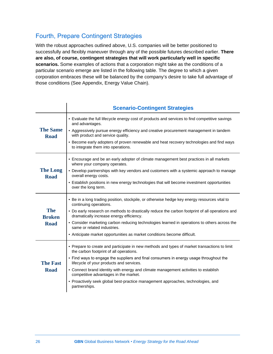### Fourth, Prepare Contingent Strategies

With the robust approaches outlined above, U.S. companies will be better positioned to successfully and flexibly maneuver through any of the possible futures described earlier. **There are also, of course, contingent strategies that will work particularly well in specific scenarios.** Some examples of actions that a corporation might take as the conditions of a particular scenario emerge are listed in the following table. The degree to which a given corporation embraces these will be balanced by the company's desire to take full advantage of those conditions (See Appendix, Energy Value Chain).

|                                            | <b>Scenario-Contingent Strategies</b>                                                                                                                                                                                                                                                                                                                                                                                                                                                                              |
|--------------------------------------------|--------------------------------------------------------------------------------------------------------------------------------------------------------------------------------------------------------------------------------------------------------------------------------------------------------------------------------------------------------------------------------------------------------------------------------------------------------------------------------------------------------------------|
| <b>The Same</b><br><b>Road</b>             | - Evaluate the full lifecycle energy cost of products and services to find competitive savings<br>and advantages.<br>- Aggressively pursue energy efficiency and creative procurement management in tandem<br>with product and service quality.<br>- Become early adopters of proven renewable and heat recovery technologies and find ways<br>to integrate them into operations.                                                                                                                                  |
| <b>The Long</b><br><b>Road</b>             | - Encourage and be an early adopter of climate management best practices in all markets<br>where your company operates.<br>• Develop partnerships with key vendors and customers with a systemic approach to manage<br>overall energy costs.<br>- Establish positions in new energy technologies that will become investment opportunities<br>over the long term.                                                                                                                                                  |
| <b>The</b><br><b>Broken</b><br><b>Road</b> | - Be in a long trading position, stockpile, or otherwise hedge key energy resources vital to<br>continuing operations.<br>• Do early research on methods to drastically reduce the carbon footprint of all operations and<br>dramatically increase energy efficiency.<br>• Consider marketing carbon reducing technologies learned in operations to others across the<br>same or related industries.<br>- Anticipate market opportunities as market conditions become difficult.                                   |
| <b>The Fast</b><br><b>Road</b>             | - Prepare to create and participate in new methods and types of market transactions to limit<br>the carbon footprint of all operations.<br>- Find ways to engage the suppliers and final consumers in energy usage throughout the<br>lifecycle of your products and services.<br>- Connect brand identity with energy and climate management activities to establish<br>competitive advantages in the market.<br>- Proactively seek global best-practice management approaches, technologies, and<br>partnerships. |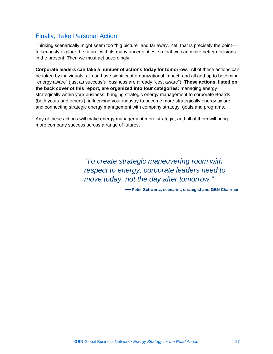### Finally, Take Personal Action

Thinking scenarically might seem too "big picture" and far away. Yet, that is precisely the point to seriously explore the future, with its many uncertainties, so that we can make better decisions in the present. Then we must act accordingly.

**Corporate leaders can take a number of actions today for tomorrow**. All of these actions can be taken by individuals, all can have significant organizational impact, and all add up to becoming "energy aware" (just as successful business are already "cost aware"). **These actions, listed on the back cover of this report, are organized into four categories:** managing energy strategically within your business, bringing strategic energy management to corporate Boards (both yours and others'), influencing your industry to become more strategically energy aware, and connecting strategic energy management with company strategy, goals and programs.

Any of these actions will make energy management more strategic, and all of them will bring more company success across a range of futures.

> *"To create strategic maneuvering room with respect to energy, corporate leaders need to move today, not the day after tomorrow."*

> > **— Peter Schwartz, scenarist, strategist and GBN Chairman**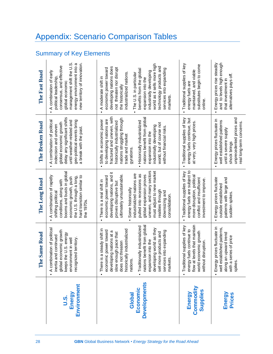## Appendix: Scenario Comparison Tables

### Summary of Key Elements

|                                           | <b>Same Road</b><br>The                                                                                                                                                                                                                                                                                                                                  | The Long Road                                                                                                                                                                                                                                                                                                                                                      | The Broken Road                                                                                                                                                                                                                                                                                                                                           | The Fast Road                                                                                                                                                                                                                                                                                                                                             |
|-------------------------------------------|----------------------------------------------------------------------------------------------------------------------------------------------------------------------------------------------------------------------------------------------------------------------------------------------------------------------------------------------------------|--------------------------------------------------------------------------------------------------------------------------------------------------------------------------------------------------------------------------------------------------------------------------------------------------------------------------------------------------------------------|-----------------------------------------------------------------------------------------------------------------------------------------------------------------------------------------------------------------------------------------------------------------------------------------------------------------------------------------------------------|-----------------------------------------------------------------------------------------------------------------------------------------------------------------------------------------------------------------------------------------------------------------------------------------------------------------------------------------------------------|
| Environment<br>Energy<br><u>ง:</u>        | A combination of political<br>economic growth<br>the U.S. energy<br>inertia and continued<br>recognized territory.<br>environment in well<br>global e<br>keeps t                                                                                                                                                                                         | booms and busts in global<br>A combination of rapidly<br>hard transition similar to<br>economic growth, push<br>the U.S. through a long.<br>conditions, along with<br>shifting political<br>the 1970s                                                                                                                                                              | delay any significant shifts<br>geo-political events bring<br>until weather-related and<br>A combination of political<br>global economic growth<br>indecision and uneven<br>a break with the past                                                                                                                                                         | management shift the U.S.<br>new territory of innovation.<br>energy environment into a<br>consensus, and effective<br>A combination of early<br>political leadership<br>global economic                                                                                                                                                                   |
| <b>Developments</b><br>Economic<br>Global | nations benefit from global<br>- Traditionally industrialized<br>developing world as they<br>There is a steady shift in<br>historically industrialized<br>economic power toward<br>services into expanding<br>developing nations at a<br>sell more products and<br>slow enough pace that<br>expansion into the<br>does not threaten<br>nations<br>market | uneven, and many sectors<br>must adjust to new market<br>developing nations, and it<br>industrialized nations are<br>pulled into recessions as<br>global expansion proves<br>ultimately unsustainable.<br>economic power toward<br>There is a real shift in<br>proves disruptive but<br>Some historically<br>realities through<br>downsizing and<br>consolidation. | fractured and uneven, with<br>nations benefit from global<br>nations struggling through<br>to developing nations are<br>Shifts in economic power<br>Historically industrialized<br>historically industrialized<br>world, but of course not<br>industrially developing<br>without financial risks.<br>expansion into the<br>trade and market<br>gyrations. | world as it sells more high<br>technology products and<br>developing nations does<br>not threaten nor disrupt<br>economic power toward<br>services into expanding<br>benefits from the global<br>industrially developing<br>industrialized nations.<br>The U.S. in particular<br>A moderate shift in<br>expansion into the<br>the historically<br>markets |
| Commodity<br>Supplies<br>Energy           | levels that maintain<br>Traditional supplies of key<br>energy fuels continue to<br>world economic growth<br>disruption<br>without<br>flow at                                                                                                                                                                                                             | energy fuels are subject to<br>Traditional supplies of key<br>more disruption, political<br>conflict and insufficient<br>investment to improve.                                                                                                                                                                                                                    | Traditional supplies of key<br>energy fuels continue, but<br>at very, very high prices.                                                                                                                                                                                                                                                                   | Traditional supplies of key<br>substitutes begin to come<br>maintained, and viable<br>energy fuels are<br>online                                                                                                                                                                                                                                          |
| Energy<br><b>Prices</b>                   | prices fluctuate in<br>well established patterns,<br>along an upward trend<br>with a series of price<br>Energy<br>spikes.<br>í,                                                                                                                                                                                                                          | Energy prices fluctuate<br>patterns with large and<br>outside established<br>sudden spikes.                                                                                                                                                                                                                                                                        | unprecedented prices and<br>Energy prices fluctuate in<br>well established patterns<br>eal long-term concerns.<br>until a severe supply<br>shock brings                                                                                                                                                                                                   | Energy prices rise steadily<br>and to levels high enough<br>alternatives pays off.<br>that investment in                                                                                                                                                                                                                                                  |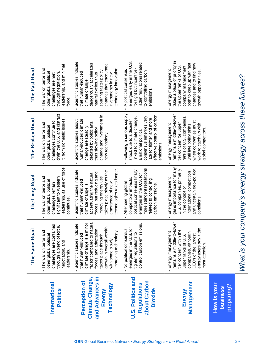|                                                                                    | e Same Road<br>É                                                                                                                                                                                                                       | The Long Road                                                                                                                                                                                                                         | The Broken Road                                                                                                                                                                                                | The Fast Road                                                                                                                                                                                                              |
|------------------------------------------------------------------------------------|----------------------------------------------------------------------------------------------------------------------------------------------------------------------------------------------------------------------------------------|---------------------------------------------------------------------------------------------------------------------------------------------------------------------------------------------------------------------------------------|----------------------------------------------------------------------------------------------------------------------------------------------------------------------------------------------------------------|----------------------------------------------------------------------------------------------------------------------------------------------------------------------------------------------------------------------------|
| International<br>Politics                                                          | challenges are contained<br>through a blend of force,<br>- The war on terror and<br>other global political<br>negotiation, and<br>leadership.                                                                                          | leadership, as use of force<br>The war on terror and<br>significant to Western<br>other global political<br>challenges remain<br>continues.                                                                                           | drain the U.S. and distract<br>it from domestic issues.<br>challenges continue to<br>The war on terror and<br>other global political                                                                           | leadership, and minimal<br>The war on terror and<br>other global political<br>through negotiation<br>challenges are met<br>force.                                                                                          |
| and Advances in<br><b>Climate Change,</b><br>Perception of<br>Technology<br>Energy | factor compared to natural<br>climate change is a minor<br>Scientific studies indicate<br>growth in overall wealth<br>forces, and adaptation<br>improving technology.<br>that human-induced<br>takes place through<br>with some slowly | technologies takes longer.<br>Scientific studies indicate<br>takes place slowly as the<br>forces, but reducing and<br>accentuating the natural<br>improving energy use<br>that human-induced<br>emergence of new<br>climate change is | change and investment in<br>human-induced climate<br>Scientific studies about<br>debated by politicians,<br>change are steadily<br>thus slowing policy<br>new technology.                                      | Scientific studies indicate<br>dangerously accelerates<br>changes that encourage<br>technology innovation.<br>spurring faster policy<br>that human-induced<br>natural cycles, thus<br>investments in new<br>climate change |
| U.S. Politics and<br>about Carbon<br>Regulations<br><b>Dioxide</b>                 | control carbon emissions.<br>emerges in the U.S. for<br>- No political consensus<br>tighter regulations to                                                                                                                             | more stringent regulations<br>political consensus finally<br>emerges in the U.S. for<br>competitors' impacts,<br>related to controlling<br>After seeing global<br>carbon emissions.<br>$\blacksquare$                                 | Following a serious supply<br>effective control of carbon<br>consensus emerges very<br>linked to climate change,<br>late for tighter and more<br>shock due to a disaster<br>a national political<br>emissions. | emerges early in the U.S.<br>laden regulations related<br>for tight but incentive-<br>A political consensus<br>to controlling carbon<br>emissions                                                                          |
| Management<br>Energy                                                               | remains a middle-to-lower<br>energy users pay it the<br>tier concern within the<br>Energy management<br>companies, although<br>CEOs of the largest<br>upper ranks of U.S.<br>attention.<br>most                                        | gains importance for many<br>and uncertain geo-political<br>U.S. companies, primarily<br>international competition<br>Energy management<br>in the context of<br>conditions.                                                           | remains a middle-to-lower<br>ranks of U.S. companies,<br>when companies must<br>tier concern for upper<br>Energy management<br>work to catch up with<br>until late policy shifts<br>global competitors.        | takes a place of priority in<br>both to keep up with fast<br>changes and to find new<br>company management,<br>the upper ranks of U.S.<br>Energy management<br>growth opportunities                                        |
| <b>How is your</b><br>preparing?<br>business                                       |                                                                                                                                                                                                                                        |                                                                                                                                                                                                                                       |                                                                                                                                                                                                                |                                                                                                                                                                                                                            |
|                                                                                    |                                                                                                                                                                                                                                        |                                                                                                                                                                                                                                       | What is your company's energy strategy across these futures?                                                                                                                                                   |                                                                                                                                                                                                                            |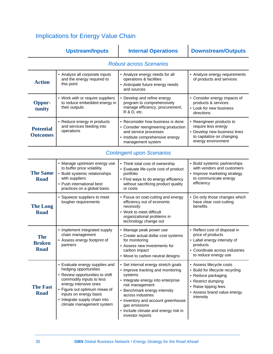### Implications for Energy Value Chain

|                                            | <b>Upstream/Inputs</b>                                                                                                                                                                                                                                                   | <b>Internal Operations</b>                                                                                                                                                                                                                                                                                           | <b>Downstream/Outputs</b>                                                                                                                                                   |  |  |
|--------------------------------------------|--------------------------------------------------------------------------------------------------------------------------------------------------------------------------------------------------------------------------------------------------------------------------|----------------------------------------------------------------------------------------------------------------------------------------------------------------------------------------------------------------------------------------------------------------------------------------------------------------------|-----------------------------------------------------------------------------------------------------------------------------------------------------------------------------|--|--|
| <b>Robust across Scenarios</b>             |                                                                                                                                                                                                                                                                          |                                                                                                                                                                                                                                                                                                                      |                                                                                                                                                                             |  |  |
| <b>Action</b>                              | • Analyze all corporate inputs<br>and the energy required to<br>this point                                                                                                                                                                                               | • Analyze energy needs for all<br>operations & facilities<br>• Anticipate future energy needs<br>and sources                                                                                                                                                                                                         | • Analyze energy requirements<br>of products and services                                                                                                                   |  |  |
| Oppor-<br>tunity                           | • Work with or require suppliers<br>to reduce embedded energy in<br>their outputs                                                                                                                                                                                        | • Develop and refine energy<br>program to comprehensively<br>manage efficiency, procurement,<br>R & D, etc.                                                                                                                                                                                                          | • Consider energy impacts of<br>products & services<br>- Look for new business<br>directions                                                                                |  |  |
| <b>Potential</b><br><b>Outcomes</b>        | • Reduce energy in products<br>and services feeding into<br>operations                                                                                                                                                                                                   | • Reconsider how business is done<br>• Consider reengineering production<br>and service processes<br>· Institute comprehensive energy<br>management system                                                                                                                                                           | • Reengineer products to<br>require less energy<br>• Develop new business lines<br>to capitalize on changing<br>energy environment                                          |  |  |
| <b>Contingent upon Scenarios</b>           |                                                                                                                                                                                                                                                                          |                                                                                                                                                                                                                                                                                                                      |                                                                                                                                                                             |  |  |
| <b>The Same</b><br><b>Road</b>             | • Manage upstream energy use<br>to buffer price volatility<br>• Build systemic relationships<br>with suppliers<br>• Push international best<br>practices on a global basis                                                                                               | • Think total cost of ownership<br>- Evaluate life-cycle cost of product<br>portfolio<br>- Find ways to do energy efficiency<br>without sacrificing product quality<br>or costs                                                                                                                                      | • Build systemic partnerships<br>with vendors and customers<br>• Improve marketing strategy<br>to communicate energy<br>efficiency                                          |  |  |
| <b>The Long</b><br><b>Road</b>             | • Squeeze suppliers to meet<br>tougher requirements                                                                                                                                                                                                                      | • Focus on cost-cutting and energy<br>efficiency out of economic<br>necessity<br>• Work to meet difficult<br>organizational problems in<br>technology change out                                                                                                                                                     | • Do only those changes which<br>have clear cost-cutting<br>benefits                                                                                                        |  |  |
| <b>The</b><br><b>Broken</b><br><b>Road</b> | • Implement integrated supply<br>chain management<br>• Assess energy footprint of<br>partners                                                                                                                                                                            | • Manage peak power use<br>• Create actual dollar cost systems<br>for monitoring<br>• Assess new investments for<br>carbon impact<br>• Move to carbon neutral designs                                                                                                                                                | • Reflect cost of disposal in<br>price of products<br>- Label energy intensity of<br>products<br>• Coordinate across industries<br>to reduce energy use                     |  |  |
| <b>The Fast</b><br><b>Road</b>             | • Evaluate energy supplies and<br>hedging opportunities<br>• Review opportunities to shift<br>commodity inputs to less<br>energy intensive ones<br>- Figure out optimum mixes of<br>inputs on energy basis<br>· Integrate supply chain into<br>climate management system | • Set internal energy stretch goals<br>• Improve tracking and monitoring<br>systems<br>• Integrate energy into enterprise<br>risk management<br>• Benchmark energy intensity<br>across industries<br>• Inventory and account greenhouse<br>gas emissions<br>• Include climate and energy risk in<br>investor reports | - Assess lifecycle costs<br>• Build for lifecycle recycling<br>• Reduce packaging<br>• Restrict dumping<br>• Raise tipping fees<br>- Assess brand value energy<br>intensity |  |  |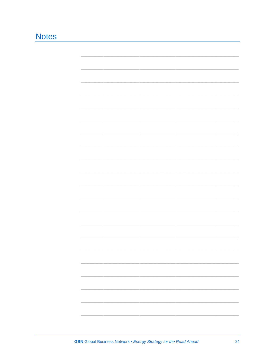### **Notes**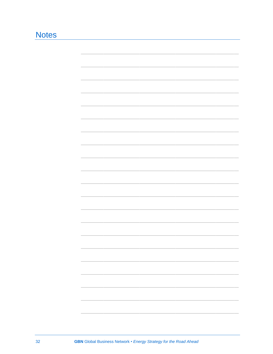### **Notes**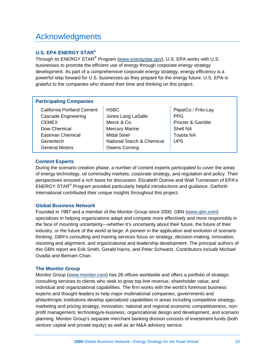### Acknowledgments

#### **U.S. EPA ENERGY STAR®**

Through its ENERGY STAR<sup>®</sup> Program [\(www.energystar.gov](http://www.energystar.gov/)), U.S. EPA works with U.S. businesses to promote the efficient use of energy through corporate energy strategy development. As part of a comprehensive corporate energy strategy, energy efficiency is a powerful step forward for U.S. businesses as they prepare for the energy future. U.S. EPA is grateful to the companies who shared their time and thinking on this project.

#### **Participating Companies**

| California Portland Cement |  |
|----------------------------|--|
| Cascade Engineering        |  |
| CEMEX                      |  |
| Dow Chemical               |  |
| <b>Eastman Chemical</b>    |  |
| Genentech                  |  |
| General Motors             |  |

HSBC Jones Lang LaSalle Merck & Co. Mercury Marine Mittal Steel National Starch & Chemical Owens Corning

PepsiCo / Frito-Lay PPG Procter & Gamble Shell NA Toyota NA UPS

#### **Content Experts**

During the scenario creation phase, a number of content experts participated to cover the areas of energy technology, oil commodity markets, corporate strategy, and regulation and policy. Their perspectives ensured a rich basis for discussion. Elizabeth Dutrow and Walt Tunnessen of EPA's ENERGY STAR® Program provided particularly helpful introductions and guidance. Garforth International contributed their unique insights throughout this project.

#### **Global Business Network**

Founded in 1987 and a member of the Monitor Group since 2000, GBN [\(www.gbn.com](http://www.gbn.com/)) specializes in helping organizations adapt and compete more effectively and more responsibly in the face of mounting uncertainty—whether it's uncertainty about their future, the future of their industry, or the future of the world at large. A pioneer in the application and evolution of scenario thinking, GBN's consulting and training services focus on strategy, decision-making, innovation, visioning and alignment, and organizational and leadership development. The principal authors of this GBN report are Erik Smith, Gerald Harris, and Peter Schwartz. Contributors include Michael Ovadia and Bertram Chan.

#### **The Monitor Group**

Monitor Group (www.monitor.com) has 28 offices worldwide and offers a portfolio of strategic consulting services to clients who seek to grow top-line revenue, shareholder value, and individual and organizational capabilities. The firm works with the world's foremost business experts and thought leaders to help major multinational companies, governments and philanthropic institutions develop specialized capabilities in areas including competitive strategy, marketing and pricing strategy, innovation, national and regional economic competitiveness, nonprofit management, technology/e-business, organizational design and development, and scenario planning. Monitor Group's separate merchant banking division consists of investment funds (both venture capital and private equity) as well as an M&A advisory service.